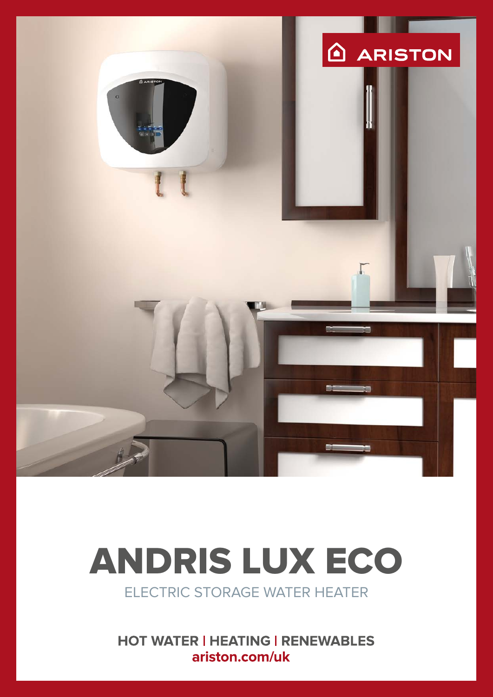

# ELECTRIC STORAGE WATER HEATER ANDRIS LUX ECO

**HOT WATER | HEATING | RENEWABLES** ariston.com/uk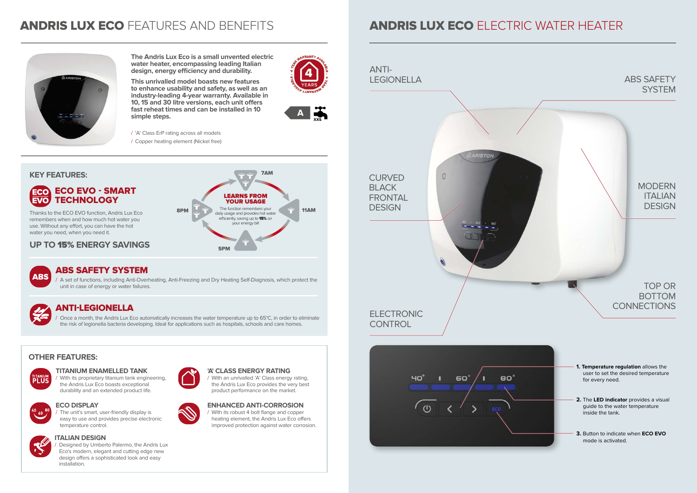- / 'A' Class ErP rating across all models
- / Copper heating element (Nickel free)

## ANDRIS LUX ECO FEATURES AND BENEFITS **ANDRIS LUX ECO** ELECTRIC WATER HEATER



**The Andris Lux Eco is a small unvented electric water heater, encompassing leading Italian design, energy efficiency and durability.** 

### TOP OR BOTTOM **CONNECTIONS**

### MODERN **ITALIAN DESIGN**

### ABS SAFETY **SYSTEM**

**This unrivalled model boasts new features to enhance usability and safety, as well as an industry-leading 4-year warranty. Available in 10, 15 and 30 litre versions, each unit offers fast reheat times and can be installed in 10 simple steps.**









### **OTHER FEATURES:**



### **TITANIUM ENAMELLED TANK**



/ With its proprietary titanium tank engineering, the Andris Lux Eco boasts exceptional durability and an extended product life.



### **ECO DISPLAY**

/ The unit's smart, user-friendly display is easy to use and provides precise electronic temperature control.



### **'A' CLASS ENERGY RATING**

<sup>/</sup> Once a month, the Andris Lux Eco automatically increases the water temperature up to 65°C, in order to eliminate the risk of legionella bacteria developing. Ideal for applications such as hospitals, schools and care homes.

> / With an unrivalled 'A' Class energy rating, the Andris Lux Eco provides the very best product performance on the market.



**ENHANCED ANTI-CORROSION**  / With its robust 4 bolt flange and copper heating element, the Andris Lux Eco offers improved protection against water corrosion.

Designed by Umberto Palermo, the Andris Lux Eco's modern, elegant and cutting edge new design offers a sophisticated look and easy installation.





- **1. Temperature regulation** allows the user to set the desired temperature for every need.
- **2.** The **LED indicator** provides a visual guide to the water temperature inside the tank.
- **3.** Button to indicate when **ECO EVO** mode is activated.

Thanks to the ECO EVO function, Andris Lux Eco remembers when and how much hot water you use. Without any effort, you can have the hot water you need, when you need it.



### ANTI-LEGIONELLA

### ABS SAFETY SYSTEM

/ A set of functions, including Anti-Overheating, Anti-Freezing and Dry Heating Self-Diagnosis, which protect the unit in case of energy or water failures.

**ABS** 

### **UP TO** 15% **ENERGY SAVINGS**

### **ITALIAN DESIGN**